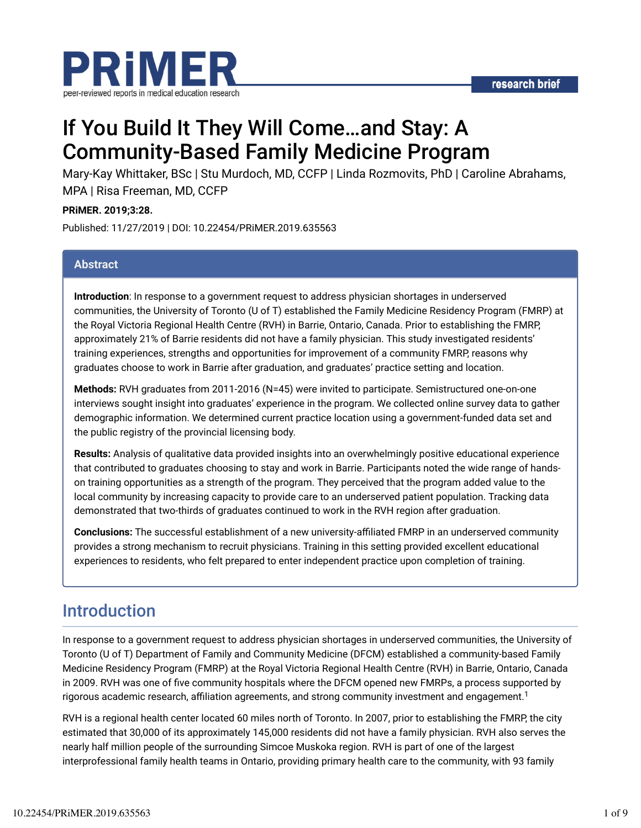

# If You Build It They Will Come…and Stay: A Community-Based Family Medicine Program

Mary-Kay Whittaker, BSc | Stu Murdoch, MD, CCFP | Linda Rozmovits, PhD | Caroline Abrahams, MPA | Risa Freeman, MD, CCFP

#### **PRiMER. 2019;3:28.**

Published: 11/27/2019 | DOI: 10.22454/PRiMER.2019.635563

#### **Abstract**

**Introduction**: In response to a government request to address physician shortages in underserved communities, the University of Toronto (U of T) established the Family Medicine Residency Program (FMRP) at the Royal Victoria Regional Health Centre (RVH) in Barrie, Ontario, Canada. Prior to establishing the FMRP, approximately 21% of Barrie residents did not have a family physician. This study investigated residents' training experiences, strengths and opportunities for improvement of a community FMRP, reasons why graduates choose to work in Barrie after graduation, and graduates' practice setting and location.

**Methods:** RVH graduates from 2011-2016 (N=45) were invited to participate. Semistructured one-on-one interviews sought insight into graduates' experience in the program. We collected online survey data to gather demographic information. We determined current practice location using a government-funded data set and the public registry of the provincial licensing body.

**Results:** Analysis of qualitative data provided insights into an overwhelmingly positive educational experience that contributed to graduates choosing to stay and work in Barrie. Participants noted the wide range of handson training opportunities as a strength of the program. They perceived that the program added value to the local community by increasing capacity to provide care to an underserved patient population. Tracking data demonstrated that two-thirds of graduates continued to work in the RVH region after graduation.

**Conclusions:** The successful establishment of a new university-affiliated FMRP in an underserved community provides a strong mechanism to recruit physicians. Training in this setting provided excellent educational experiences to residents, who felt prepared to enter independent practice upon completion of training.

# Introduction

In response to a government request to address physician shortages in underserved communities, the University of Toronto (U of T) Department of Family and Community Medicine (DFCM) established a community-based Family Medicine Residency Program (FMRP) at the Royal Victoria Regional Health Centre (RVH) in Barrie, Ontario, Canada in 2009. RVH was one of five community hospitals where the DFCM opened new FMRPs, a process supported by rigorous academic research, affiliation agreements, and strong community investment and engagement. $^{\text{1}}$ 

RVH is a regional health center located 60 miles north of Toronto. In 2007, prior to establishing the FMRP, the city estimated that 30,000 of its approximately 145,000 residents did not have a family physician. RVH also serves the nearly half million people of the surrounding Simcoe Muskoka region. RVH is part of one of the largest interprofessional family health teams in Ontario, providing primary health care to the community, with 93 family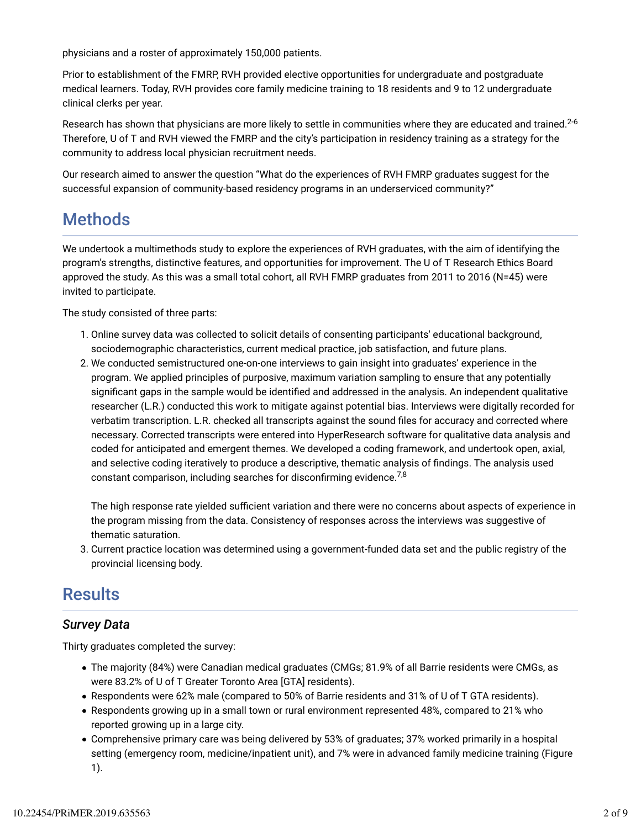physicians and a roster of approximately 150,000 patients.

Prior to establishment of the FMRP, RVH provided elective opportunities for undergraduate and postgraduate medical learners. Today, RVH provides core family medicine training to 18 residents and 9 to 12 undergraduate clinical clerks per year.

Research has shown that physicians are more likely to settle in communities where they are educated and trained. $^{2\text{-}6}$ Therefore, U of T and RVH viewed the FMRP and the city's participation in residency training as a strategy for the community to address local physician recruitment needs.

Our research aimed to answer the question "What do the experiences of RVH FMRP graduates suggest for the successful expansion of community-based residency programs in an underserviced community?"

# **Methods**

We undertook a multimethods study to explore the experiences of RVH graduates, with the aim of identifying the program's strengths, distinctive features, and opportunities for improvement. The U of T Research Ethics Board approved the study. As this was a small total cohort, all RVH FMRP graduates from 2011 to 2016 (N=45) were invited to participate.

The study consisted of three parts:

- 1. Online survey data was collected to solicit details of consenting participants' educational background, sociodemographic characteristics, current medical practice, job satisfaction, and future plans.
- 2. We conducted semistructured one-on-one interviews to gain insight into graduates' experience in the program. We applied principles of purposive, maximum variation sampling to ensure that any potentially significant gaps in the sample would be identified and addressed in the analysis. An independent qualitative researcher (L.R.) conducted this work to mitigate against potential bias. Interviews were digitally recorded for verbatim transcription. L.R. checked all transcripts against the sound files for accuracy and corrected where necessary. Corrected transcripts were entered into HyperResearch software for qualitative data analysis and coded for anticipated and emergent themes. We developed a coding framework, and undertook open, axial, and selective coding iteratively to produce a descriptive, thematic analysis of dndings. The analysis used constant comparison, including searches for disconfirming evidence. $^{7,8}$

The high response rate yielded sufficient variation and there were no concerns about aspects of experience in the program missing from the data. Consistency of responses across the interviews was suggestive of thematic saturation.

3. Current practice location was determined using a government-funded data set and the public registry of the provincial licensing body.

# **Results**

# *Survey Data*

Thirty graduates completed the survey:

- The majority (84%) were Canadian medical graduates (CMGs; 81.9% of all Barrie residents were CMGs, as were 83.2% of U of T Greater Toronto Area [GTA] residents).
- Respondents were 62% male (compared to 50% of Barrie residents and 31% of U of T GTA residents).
- Respondents growing up in a small town or rural environment represented 48%, compared to 21% who reported growing up in a large city.
- Comprehensive primary care was being delivered by 53% of graduates; 37% worked primarily in a hospital setting (emergency room, medicine/inpatient unit), and 7% were in advanced family medicine training (Figure 1).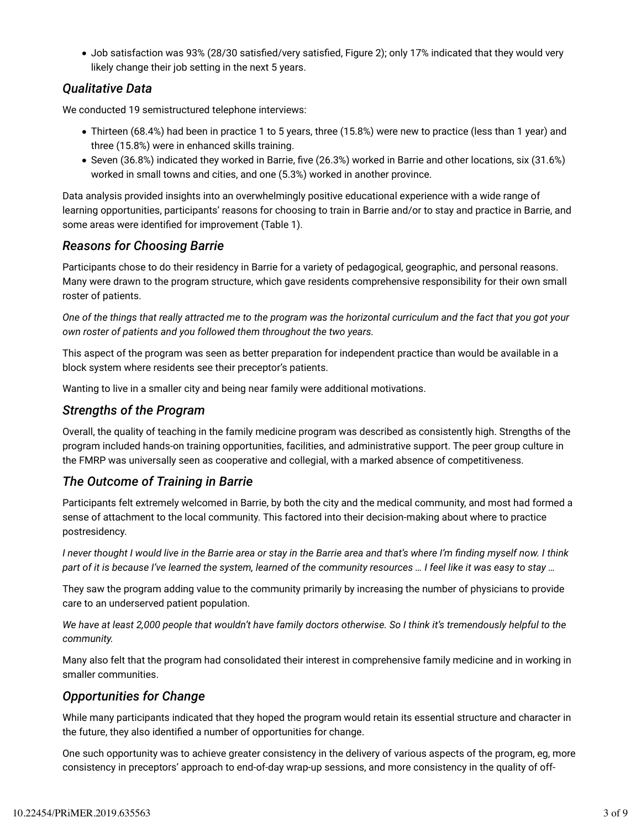• Job satisfaction was 93% (28/30 satisfied/very satisfied, Figure 2); only 17% indicated that they would very likely change their job setting in the next 5 years.

# *Qualitative Data*

We conducted 19 semistructured telephone interviews:

- Thirteen (68.4%) had been in practice 1 to 5 years, three (15.8%) were new to practice (less than 1 year) and three (15.8%) were in enhanced skills training.
- Seven (36.8%) indicated they worked in Barrie, five (26.3%) worked in Barrie and other locations, six (31.6%) worked in small towns and cities, and one (5.3%) worked in another province.

Data analysis provided insights into an overwhelmingly positive educational experience with a wide range of learning opportunities, participants' reasons for choosing to train in Barrie and/or to stay and practice in Barrie, and some areas were identified for improvement (Table 1).

#### *Reasons for Choosing Barrie*

Participants chose to do their residency in Barrie for a variety of pedagogical, geographic, and personal reasons. Many were drawn to the program structure, which gave residents comprehensive responsibility for their own small roster of patients.

*One of the things that really attracted me to the program was the horizontal curriculum and the fact that you got your own roster of patients and you followed them throughout the two years.*

This aspect of the program was seen as better preparation for independent practice than would be available in a block system where residents see their preceptor's patients.

Wanting to live in a smaller city and being near family were additional motivations.

### *Strengths of the Program*

Overall, the quality of teaching in the family medicine program was described as consistently high. Strengths of the program included hands-on training opportunities, facilities, and administrative support. The peer group culture in the FMRP was universally seen as cooperative and collegial, with a marked absence of competitiveness.

### *The Outcome of Training in Barrie*

Participants felt extremely welcomed in Barrie, by both the city and the medical community, and most had formed a sense of attachment to the local community. This factored into their decision-making about where to practice postresidency.

*I* never thought *I* would live in the Barrie area or stay in the Barrie area and that's where I'm finding myself now. I think *part of it is because I've learned the system, learned of the community resources … I feel like it was easy to stay …*

They saw the program adding value to the community primarily by increasing the number of physicians to provide care to an underserved patient population.

*We have at least 2,000 people that wouldn't have family doctors otherwise. So I think it's tremendously helpful to the community.*

Many also felt that the program had consolidated their interest in comprehensive family medicine and in working in smaller communities.

### *Opportunities for Change*

While many participants indicated that they hoped the program would retain its essential structure and character in the future, they also identified a number of opportunities for change.

One such opportunity was to achieve greater consistency in the delivery of various aspects of the program, eg, more consistency in preceptors' approach to end-of-day wrap-up sessions, and more consistency in the quality of off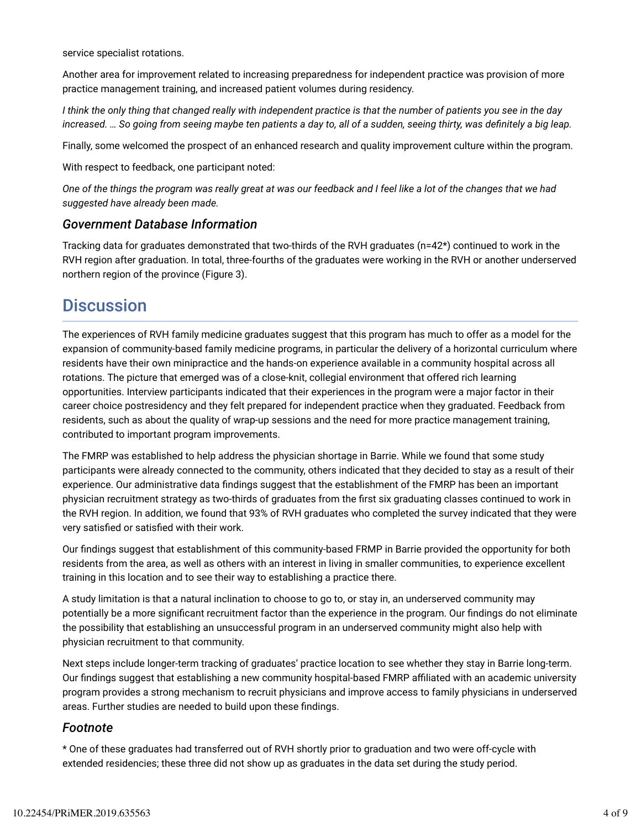service specialist rotations.

Another area for improvement related to increasing preparedness for independent practice was provision of more practice management training, and increased patient volumes during residency.

*I think the only thing that changed really with independent practice is that the number of patients you see in the day increased. … So going from seeing maybe ten patients a day to, all of a sudden, seeing thirty, was definitely a big leap.* 

Finally, some welcomed the prospect of an enhanced research and quality improvement culture within the program.

With respect to feedback, one participant noted:

*One of the things the program was really great at was our feedback and I feel like a lot of the changes that we had suggested have already been made.*

#### *Government Database Information*

Tracking data for graduates demonstrated that two-thirds of the RVH graduates (n=42\*) continued to work in the RVH region after graduation. In total, three-fourths of the graduates were working in the RVH or another underserved northern region of the province (Figure 3).

# **Discussion**

The experiences of RVH family medicine graduates suggest that this program has much to offer as a model for the expansion of community-based family medicine programs, in particular the delivery of a horizontal curriculum where residents have their own minipractice and the hands-on experience available in a community hospital across all rotations. The picture that emerged was of a close-knit, collegial environment that offered rich learning opportunities. Interview participants indicated that their experiences in the program were a major factor in their career choice postresidency and they felt prepared for independent practice when they graduated. Feedback from residents, such as about the quality of wrap-up sessions and the need for more practice management training, contributed to important program improvements.

The FMRP was established to help address the physician shortage in Barrie. While we found that some study participants were already connected to the community, others indicated that they decided to stay as a result of their experience. Our administrative data findings suggest that the establishment of the FMRP has been an important physician recruitment strategy as two-thirds of graduates from the first six graduating classes continued to work in the RVH region. In addition, we found that 93% of RVH graduates who completed the survey indicated that they were very satisfied or satisfied with their work.

Our findings suggest that establishment of this community-based FRMP in Barrie provided the opportunity for both residents from the area, as well as others with an interest in living in smaller communities, to experience excellent training in this location and to see their way to establishing a practice there.

A study limitation is that a natural inclination to choose to go to, or stay in, an underserved community may potentially be a more significant recruitment factor than the experience in the program. Our findings do not eliminate the possibility that establishing an unsuccessful program in an underserved community might also help with physician recruitment to that community.

Next steps include longer-term tracking of graduates' practice location to see whether they stay in Barrie long-term. Our findings suggest that establishing a new community hospital-based FMRP affiliated with an academic university program provides a strong mechanism to recruit physicians and improve access to family physicians in underserved areas. Further studies are needed to build upon these findings.

#### *Footnote*

\* One of these graduates had transferred out of RVH shortly prior to graduation and two were off-cycle with extended residencies; these three did not show up as graduates in the data set during the study period.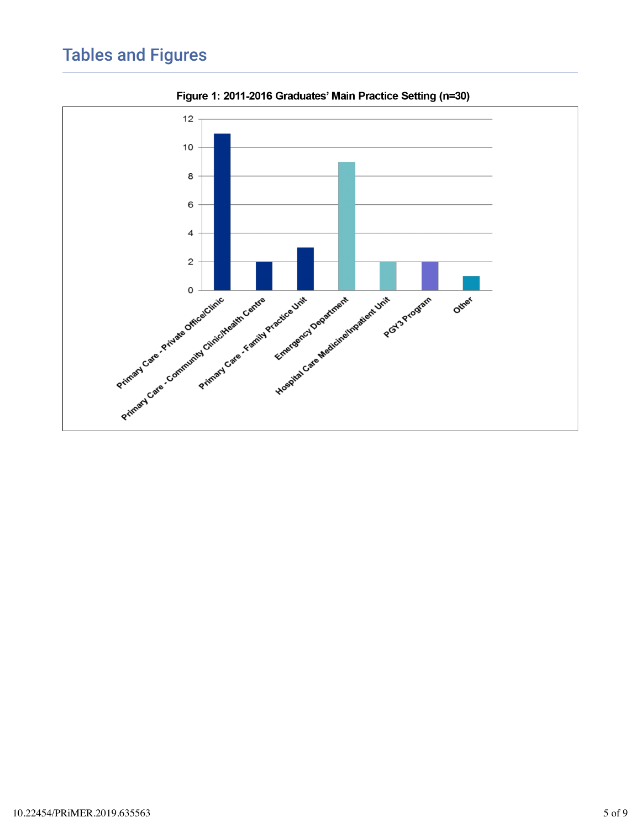# Tables and Figures



Figure 1: 2011-2016 Graduates' Main Practice Setting (n=30)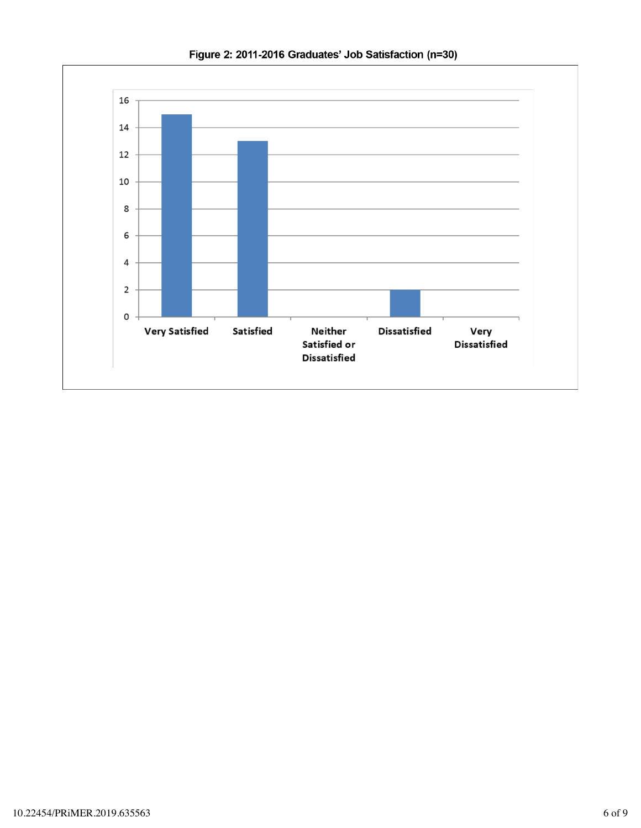

Figure 2: 2011-2016 Graduates' Job Satisfaction (n=30)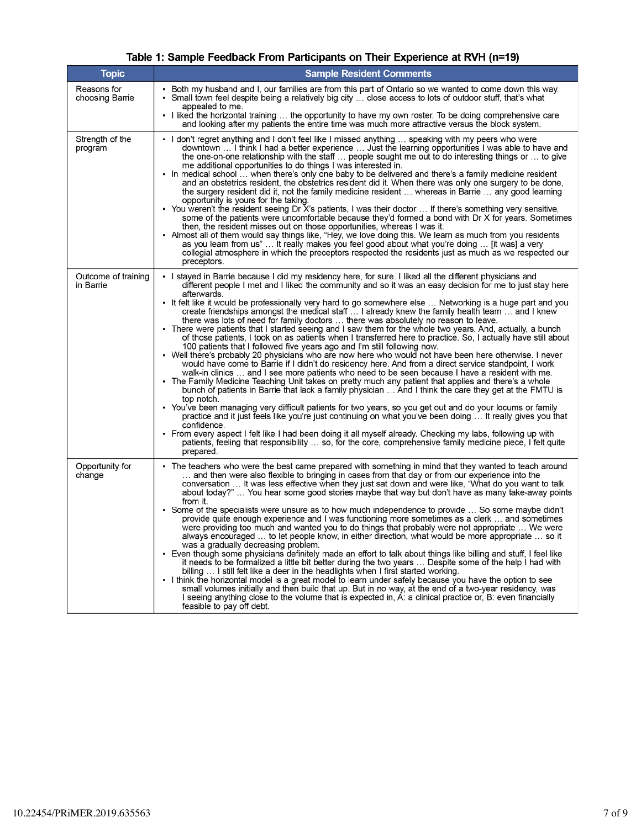## Table 1: Sample Feedback From Participants on Their Experience at RVH (n=19)

| <b>Topic</b>                     | <b>Sample Resident Comments</b>                                                                                                                                                                                                                                                                                                                                                                                                                                                                                                                                                                                                                                                                                                                                                                                                                                                                                                                                                                                                                                                                                                                                                                                                                                                                                                                                                                                                                                                                                                                                                                                                                                                                                                                                                                                                                                                                |
|----------------------------------|------------------------------------------------------------------------------------------------------------------------------------------------------------------------------------------------------------------------------------------------------------------------------------------------------------------------------------------------------------------------------------------------------------------------------------------------------------------------------------------------------------------------------------------------------------------------------------------------------------------------------------------------------------------------------------------------------------------------------------------------------------------------------------------------------------------------------------------------------------------------------------------------------------------------------------------------------------------------------------------------------------------------------------------------------------------------------------------------------------------------------------------------------------------------------------------------------------------------------------------------------------------------------------------------------------------------------------------------------------------------------------------------------------------------------------------------------------------------------------------------------------------------------------------------------------------------------------------------------------------------------------------------------------------------------------------------------------------------------------------------------------------------------------------------------------------------------------------------------------------------------------------------|
| Reasons for<br>choosing Barrie   | • Both my husband and I, our families are from this part of Ontario so we wanted to come down this way.<br>• Small town feel despite being a relatively big city  close access to lots of outdoor stuff, that's what<br>appealed to me.<br>I liked the horizontal training  the opportunity to have my own roster. To be doing comprehensive care<br>and looking after my patients the entire time was much more attractive versus the block system.                                                                                                                                                                                                                                                                                                                                                                                                                                                                                                                                                                                                                                                                                                                                                                                                                                                                                                                                                                                                                                                                                                                                                                                                                                                                                                                                                                                                                                           |
| Strength of the<br>program       | • I don't regret anything and I don't feel like I missed anything  speaking with my peers who were<br>downtown  I think I had a better experience  Just the learning opportunities I was able to have and<br>the one-on-one relationship with the staff  people sought me out to do interesting things or  to give<br>me additional opportunities to do things I was interested in.<br>• In medical school  when there's only one baby to be delivered and there's a family medicine resident<br>and an obstetrics resident, the obstetrics resident did it. When there was only one surgery to be done,<br>the surgery resident did it, not the family medicine resident  whereas in Barrie  any good learning<br>opportunity is yours for the taking.<br>• You weren't the resident seeing Dr X's patients, I was their doctor  If there's something very sensitive,<br>some of the patients were uncomfortable because they'd formed a bond with Dr X for years. Sometimes<br>then, the resident misses out on those opportunities, whereas I was it.<br>• Almost all of them would say things like, "Hey, we love doing this. We learn as much from you residents<br>as you learn from us"  It really makes you feel good about what you're doing  [it was] a very<br>collegial atmosphere in which the preceptors respected the residents just as much as we respected our<br>preceptors.                                                                                                                                                                                                                                                                                                                                                                                                                                                                                                 |
| Outcome of training<br>in Barrie | I stayed in Barrie because I did my residency here, for sure. I liked all the different physicians and<br>different people I met and I liked the community and so it was an easy decision for me to just stay here<br>afterwards.<br>It felt like it would be professionally very hard to go somewhere else  Networking is a huge part and you<br>create friendships amongst the medical staff  I already knew the family health team  and I knew<br>there was lots of need for family doctors  there was absolutely no reason to leave.<br>• There were patients that I started seeing and I saw them for the whole two years. And, actually, a bunch<br>of those patients, I took on as patients when I transferred here to practice. So, I actually have still about<br>100 patients that I followed five years ago and I'm still following now.<br>• Well there's probably 20 physicians who are now here who would not have been here otherwise. I never<br>would have come to Barrie if I didn't do residency here. And from a direct service standpoint, I work<br>walk-in clinics  and I see more patients who need to be seen because I have a resident with me.<br>• The Family Medicine Teaching Unit takes on pretty much any patient that applies and there's a whole<br>bunch of patients in Barrie that lack a family physician  And I think the care they get at the FMTU is<br>top notch.<br>• You've been managing very difficult patients for two years, so you get out and do your locums or family<br>practice and it just feels like you're just continuing on what you've been doing  It really gives you that<br>confidence.<br>• From every aspect I felt like I had been doing it all myself already. Checking my labs, following up with<br>patients, feeling that responsibility  so, for the core, comprehensive family medicine piece, I felt quite<br>prepared. |
| Opportunity for<br>change        | The teachers who were the best came prepared with something in mind that they wanted to teach around<br>and then were also flexible to bringing in cases from that day or from our experience into the<br>conversation  It was less effective when they just sat down and were like, "What do you want to talk<br>about today?"  You hear some good stories maybe that way but don't have as many take-away points<br>from it.<br>Some of the specialists were unsure as to how much independence to provide  So some maybe didn't<br>provide quite enough experience and I was functioning more sometimes as a clerk  and sometimes<br>were providing too much and wanted you to do things that probably were not appropriate  We were<br>always encouraged  to let people know, in either direction, what would be more appropriate  so it<br>was a gradually decreasing problem.<br>• Even though some physicians definitely made an effort to talk about things like billing and stuff, I feel like<br>it needs to be formalized a little bit better during the two years  Despite some of the help I had with<br>billing  I still felt like a deer in the headlights when I first started working.<br>I think the horizontal model is a great model to learn under safely because you have the option to see<br>small volumes initially and then build that up. But in no way, at the end of a two-year residency, was<br>I seeing anything close to the volume that is expected in, A: a clinical practice or, B: even financially<br>feasible to pay off debt.                                                                                                                                                                                                                                                                                                                          |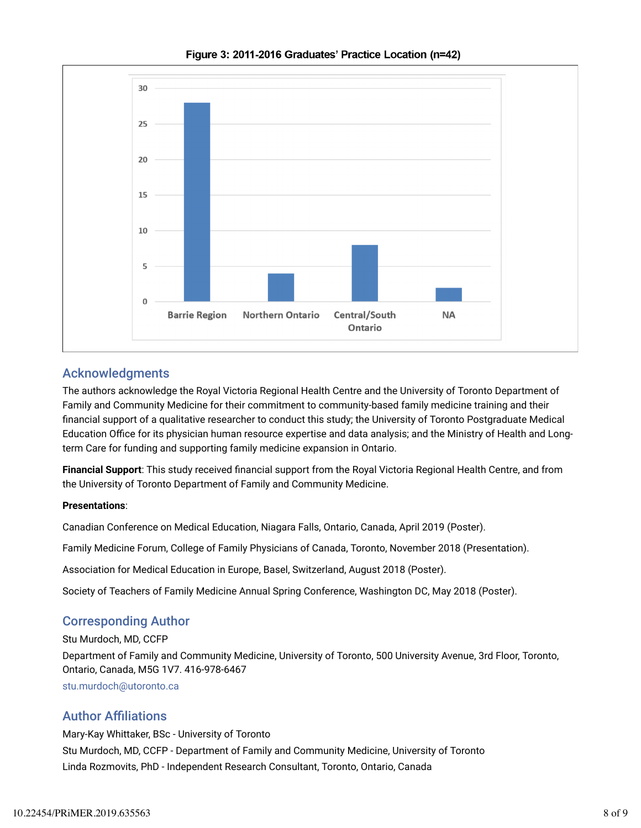

Figure 3: 2011-2016 Graduates' Practice Location (n=42)

## Acknowledgments

The authors acknowledge the Royal Victoria Regional Health Centre and the University of Toronto Department of Family and Community Medicine for their commitment to community-based family medicine training and their financial support of a qualitative researcher to conduct this study; the University of Toronto Postgraduate Medical Education Office for its physician human resource expertise and data analysis; and the Ministry of Health and Longterm Care for funding and supporting family medicine expansion in Ontario.

Financial Support: This study received financial support from the Royal Victoria Regional Health Centre, and from the University of Toronto Department of Family and Community Medicine.

#### **Presentations**:

Canadian Conference on Medical Education, Niagara Falls, Ontario, Canada, April 2019 (Poster).

Family Medicine Forum, College of Family Physicians of Canada, Toronto, November 2018 (Presentation).

Association for Medical Education in Europe, Basel, Switzerland, August 2018 (Poster).

Society of Teachers of Family Medicine Annual Spring Conference, Washington DC, May 2018 (Poster).

# Corresponding Author

Stu Murdoch, MD, CCFP

Department of Family and Community Medicine, University of Toronto, 500 University Avenue, 3rd Floor, Toronto, Ontario, Canada, M5G 1V7. 416-978-6467

stu.murdoch@utoronto.ca

### **Author Affiliations**

Mary-Kay Whittaker, BSc - University of Toronto Stu Murdoch, MD, CCFP - Department of Family and Community Medicine, University of Toronto Linda Rozmovits, PhD - Independent Research Consultant, Toronto, Ontario, Canada